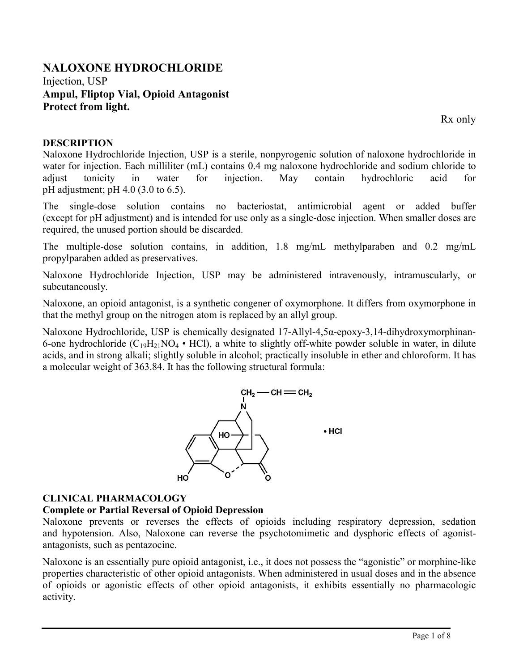# **NALOXONE HYDROCHLORIDE** Injection, USP **Ampul, Fliptop Vial, Opioid Antagonist Protect from light.**

Rx only

### **DESCRIPTION**

Naloxone Hydrochloride Injection, USP is a sterile, nonpyrogenic solution of naloxone hydrochloride in water for injection. Each milliliter (mL) contains 0.4 mg naloxone hydrochloride and sodium chloride to adjust tonicity in water for injection. May contain hydrochloric acid for pH adjustment; pH 4.0 (3.0 to 6.5).

The single-dose solution contains no bacteriostat, antimicrobial agent or added buffer (except for pH adjustment) and is intended for use only as a single-dose injection. When smaller doses are required, the unused portion should be discarded.

The multiple-dose solution contains, in addition, 1.8 mg/mL methylparaben and 0.2 mg/mL propylparaben added as preservatives.

Naloxone Hydrochloride Injection, USP may be administered intravenously, intramuscularly, or subcutaneously.

Naloxone, an opioid antagonist, is a synthetic congener of oxymorphone. It differs from oxymorphone in that the methyl group on the nitrogen atom is replaced by an allyl group.

Naloxone Hydrochloride, USP is chemically designated 17-Allyl-4,5α-epoxy-3,14-dihydroxymorphinan-6-one hydrochloride  $(C_{19}H_{21}NO_4 \cdot HCl)$ , a white to slightly off-white powder soluble in water, in dilute acids, and in strong alkali; slightly soluble in alcohol; practically insoluble in ether and chloroform. It has a molecular weight of 363.84. It has the following structural formula:



# **CLINICAL PHARMACOLOGY**

# **Complete or Partial Reversal of Opioid Depression**

Naloxone prevents or reverses the effects of opioids including respiratory depression, sedation and hypotension. Also, Naloxone can reverse the psychotomimetic and dysphoric effects of agonistantagonists, such as pentazocine.

Naloxone is an essentially pure opioid antagonist, i.e., it does not possess the "agonistic" or morphine-like properties characteristic of other opioid antagonists. When administered in usual doses and in the absence of opioids or agonistic effects of other opioid antagonists, it exhibits essentially no pharmacologic activity.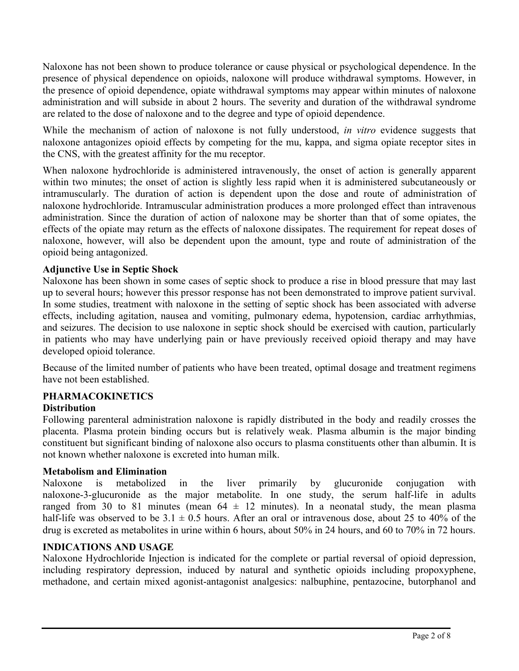Naloxone has not been shown to produce tolerance or cause physical or psychological dependence. In the presence of physical dependence on opioids, naloxone will produce withdrawal symptoms. However, in the presence of opioid dependence, opiate withdrawal symptoms may appear within minutes of naloxone administration and will subside in about 2 hours. The severity and duration of the withdrawal syndrome are related to the dose of naloxone and to the degree and type of opioid dependence.

While the mechanism of action of naloxone is not fully understood, *in vitro* evidence suggests that naloxone antagonizes opioid effects by competing for the mu, kappa, and sigma opiate receptor sites in the CNS, with the greatest affinity for the mu receptor.

When naloxone hydrochloride is administered intravenously, the onset of action is generally apparent within two minutes; the onset of action is slightly less rapid when it is administered subcutaneously or intramuscularly. The duration of action is dependent upon the dose and route of administration of naloxone hydrochloride. Intramuscular administration produces a more prolonged effect than intravenous administration. Since the duration of action of naloxone may be shorter than that of some opiates, the effects of the opiate may return as the effects of naloxone dissipates. The requirement for repeat doses of naloxone, however, will also be dependent upon the amount, type and route of administration of the opioid being antagonized.

### **Adjunctive Use in Septic Shock**

Naloxone has been shown in some cases of septic shock to produce a rise in blood pressure that may last up to several hours; however this pressor response has not been demonstrated to improve patient survival. In some studies, treatment with naloxone in the setting of septic shock has been associated with adverse effects, including agitation, nausea and vomiting, pulmonary edema, hypotension, cardiac arrhythmias, and seizures. The decision to use naloxone in septic shock should be exercised with caution, particularly in patients who may have underlying pain or have previously received opioid therapy and may have developed opioid tolerance.

Because of the limited number of patients who have been treated, optimal dosage and treatment regimens have not been established.

# **PHARMACOKINETICS**

### **Distribution**

Following parenteral administration naloxone is rapidly distributed in the body and readily crosses the placenta. Plasma protein binding occurs but is relatively weak. Plasma albumin is the major binding constituent but significant binding of naloxone also occurs to plasma constituents other than albumin. It is not known whether naloxone is excreted into human milk.

### **Metabolism and Elimination**

Naloxone is metabolized in the liver primarily by glucuronide conjugation with naloxone-3-glucuronide as the major metabolite. In one study, the serum half-life in adults ranged from 30 to 81 minutes (mean  $64 \pm 12$  minutes). In a neonatal study, the mean plasma half-life was observed to be  $3.1 \pm 0.5$  hours. After an oral or intravenous dose, about 25 to 40% of the drug is excreted as metabolites in urine within 6 hours, about 50% in 24 hours, and 60 to 70% in 72 hours.

### **INDICATIONS AND USAGE**

Naloxone Hydrochloride Injection is indicated for the complete or partial reversal of opioid depression, including respiratory depression, induced by natural and synthetic opioids including propoxyphene, methadone, and certain mixed agonist-antagonist analgesics: nalbuphine, pentazocine, butorphanol and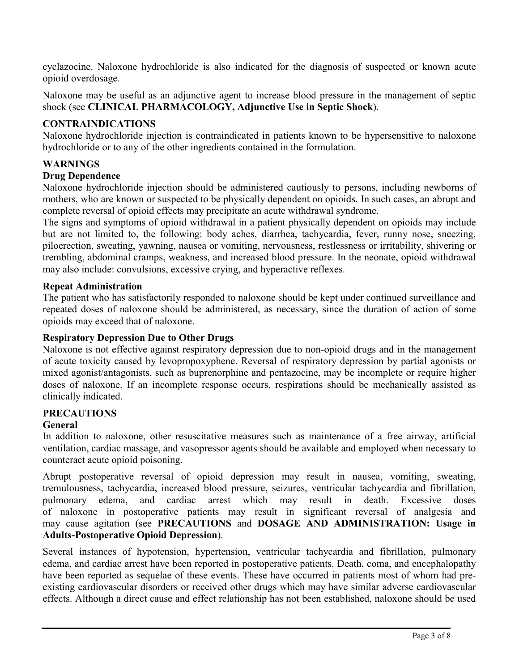cyclazocine. Naloxone hydrochloride is also indicated for the diagnosis of suspected or known acute opioid overdosage.

Naloxone may be useful as an adjunctive agent to increase blood pressure in the management of septic shock (see **CLINICAL PHARMACOLOGY, Adjunctive Use in Septic Shock**).

### **CONTRAINDICATIONS**

Naloxone hydrochloride injection is contraindicated in patients known to be hypersensitive to naloxone hydrochloride or to any of the other ingredients contained in the formulation.

### **WARNINGS**

#### **Drug Dependence**

Naloxone hydrochloride injection should be administered cautiously to persons, including newborns of mothers, who are known or suspected to be physically dependent on opioids. In such cases, an abrupt and complete reversal of opioid effects may precipitate an acute withdrawal syndrome.

The signs and symptoms of opioid withdrawal in a patient physically dependent on opioids may include but are not limited to, the following: body aches, diarrhea, tachycardia, fever, runny nose, sneezing, piloerection, sweating, yawning, nausea or vomiting, nervousness, restlessness or irritability, shivering or trembling, abdominal cramps, weakness, and increased blood pressure. In the neonate, opioid withdrawal may also include: convulsions, excessive crying, and hyperactive reflexes.

#### **Repeat Administration**

The patient who has satisfactorily responded to naloxone should be kept under continued surveillance and repeated doses of naloxone should be administered, as necessary, since the duration of action of some opioids may exceed that of naloxone.

#### **Respiratory Depression Due to Other Drugs**

Naloxone is not effective against respiratory depression due to non-opioid drugs and in the management of acute toxicity caused by levopropoxyphene. Reversal of respiratory depression by partial agonists or mixed agonist/antagonists, such as buprenorphine and pentazocine, may be incomplete or require higher doses of naloxone. If an incomplete response occurs, respirations should be mechanically assisted as clinically indicated.

### **PRECAUTIONS**

#### **General**

In addition to naloxone, other resuscitative measures such as maintenance of a free airway, artificial ventilation, cardiac massage, and vasopressor agents should be available and employed when necessary to counteract acute opioid poisoning.

Abrupt postoperative reversal of opioid depression may result in nausea, vomiting, sweating, tremulousness, tachycardia, increased blood pressure, seizures, ventricular tachycardia and fibrillation, pulmonary edema, and cardiac arrest which may result in death. Excessive doses of naloxone in postoperative patients may result in significant reversal of analgesia and may cause agitation (see **PRECAUTIONS** and **DOSAGE AND ADMINISTRATION: Usage in Adults-Postoperative Opioid Depression**).

Several instances of hypotension, hypertension, ventricular tachycardia and fibrillation, pulmonary edema, and cardiac arrest have been reported in postoperative patients. Death, coma, and encephalopathy have been reported as sequelae of these events. These have occurred in patients most of whom had preexisting cardiovascular disorders or received other drugs which may have similar adverse cardiovascular effects. Although a direct cause and effect relationship has not been established, naloxone should be used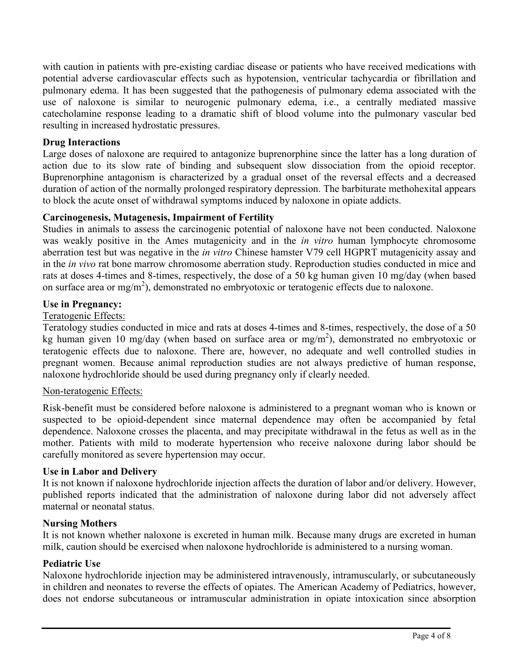with caution in patients with pre-existing cardiac disease or patients who have received medications with potential adverse cardiovascular effects such as hypotension, ventricular tachycardia or fibrillation and pulmonary edema. It has been suggested that the pathogenesis of pulmonary edema associated with the use of naloxone is similar to neurogenic pulmonary edema, i.e., a centrally mediated massive catecholamine response leading to a dramatic shift of blood volume into the pulmonary vascular bed resulting in increased hydrostatic pressures.

### **Drug Interactions**

Large doses of naloxone are required to antagonize buprenorphine since the latter has a long duration of action due to its slow rate of binding and subsequent slow dissociation from the opioid receptor. Buprenorphine antagonism is characterized by a gradual onset of the reversal effects and a decreased duration of action of the normally prolonged respiratory depression. The barbiturate methohexital appears to block the acute onset of withdrawal symptoms induced by naloxone in opiate addicts.

#### **Carcinogenesis, Mutagenesis, Impairment of Fertility**

Studies in animals to assess the carcinogenic potential of naloxone have not been conducted. Naloxone was weakly positive in the Ames mutagenicity and in the *in vitro* human lymphocyte chromosome aberration test but was negative in the *in vitro* Chinese hamster V79 cell HGPRT mutagenicity assay and in the *in vivo* rat bone marrow chromosome aberration study. Reproduction studies conducted in mice and rats at doses 4-times and 8-times, respectively, the dose of a 50 kg human given 10 mg/day (when based on surface area or mg/m<sup>2</sup>), demonstrated no embryotoxic or teratogenic effects due to naloxone.

#### **Use in Pregnancy:**

#### Teratogenic Effects:

Teratology studies conducted in mice and rats at doses 4-times and 8-times, respectively, the dose of a 50 kg human given 10 mg/day (when based on surface area or mg/m<sup>2</sup>), demonstrated no embryotoxic or teratogenic effects due to naloxone. There are, however, no adequate and well controlled studies in pregnant women. Because animal reproduction studies are not always predictive of human response, naloxone hydrochloride should be used during pregnancy only if clearly needed.

#### Non-teratogenic Effects:

Risk-benefit must be considered before naloxone is administered to a pregnant woman who is known or suspected to be opioid-dependent since maternal dependence may often be accompanied by fetal dependence. Naloxone crosses the placenta, and may precipitate withdrawal in the fetus as well as in the mother. Patients with mild to moderate hypertension who receive naloxone during labor should be carefully monitored as severe hypertension may occur.

#### **Use in Labor and Delivery**

It is not known if naloxone hydrochloride injection affects the duration of labor and/or delivery. However, published reports indicated that the administration of naloxone during labor did not adversely affect maternal or neonatal status.

#### **Nursing Mothers**

It is not known whether naloxone is excreted in human milk. Because many drugs are excreted in human milk, caution should be exercised when naloxone hydrochloride is administered to a nursing woman.

#### **Pediatric Use**

Naloxone hydrochloride injection may be administered intravenously, intramuscularly, or subcutaneously in children and neonates to reverse the effects of opiates. The American Academy of Pediatrics, however, does not endorse subcutaneous or intramuscular administration in opiate intoxication since absorption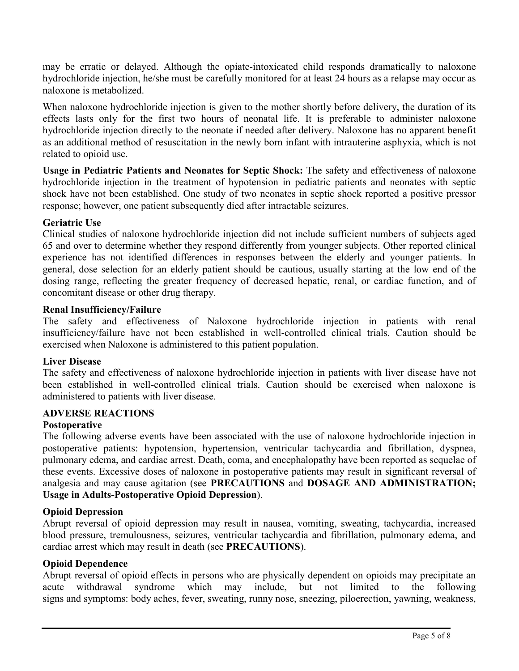may be erratic or delayed. Although the opiate-intoxicated child responds dramatically to naloxone hydrochloride injection, he/she must be carefully monitored for at least 24 hours as a relapse may occur as naloxone is metabolized.

When naloxone hydrochloride injection is given to the mother shortly before delivery, the duration of its effects lasts only for the first two hours of neonatal life. It is preferable to administer naloxone hydrochloride injection directly to the neonate if needed after delivery. Naloxone has no apparent benefit as an additional method of resuscitation in the newly born infant with intrauterine asphyxia, which is not related to opioid use.

**Usage in Pediatric Patients and Neonates for Septic Shock:** The safety and effectiveness of naloxone hydrochloride injection in the treatment of hypotension in pediatric patients and neonates with septic shock have not been established. One study of two neonates in septic shock reported a positive pressor response; however, one patient subsequently died after intractable seizures.

#### **Geriatric Use**

Clinical studies of naloxone hydrochloride injection did not include sufficient numbers of subjects aged 65 and over to determine whether they respond differently from younger subjects. Other reported clinical experience has not identified differences in responses between the elderly and younger patients. In general, dose selection for an elderly patient should be cautious, usually starting at the low end of the dosing range, reflecting the greater frequency of decreased hepatic, renal, or cardiac function, and of concomitant disease or other drug therapy.

#### **Renal Insufficiency/Failure**

The safety and effectiveness of Naloxone hydrochloride injection in patients with renal insufficiency/failure have not been established in well-controlled clinical trials. Caution should be exercised when Naloxone is administered to this patient population.

#### **Liver Disease**

The safety and effectiveness of naloxone hydrochloride injection in patients with liver disease have not been established in well-controlled clinical trials. Caution should be exercised when naloxone is administered to patients with liver disease.

#### **ADVERSE REACTIONS**

#### **Postoperative**

The following adverse events have been associated with the use of naloxone hydrochloride injection in postoperative patients: hypotension, hypertension, ventricular tachycardia and fibrillation, dyspnea, pulmonary edema, and cardiac arrest. Death, coma, and encephalopathy have been reported as sequelae of these events. Excessive doses of naloxone in postoperative patients may result in significant reversal of analgesia and may cause agitation (see **PRECAUTIONS** and **DOSAGE AND ADMINISTRATION; Usage in Adults-Postoperative Opioid Depression**).

### **Opioid Depression**

Abrupt reversal of opioid depression may result in nausea, vomiting, sweating, tachycardia, increased blood pressure, tremulousness, seizures, ventricular tachycardia and fibrillation, pulmonary edema, and cardiac arrest which may result in death (see **PRECAUTIONS**).

#### **Opioid Dependence**

Abrupt reversal of opioid effects in persons who are physically dependent on opioids may precipitate an acute withdrawal syndrome which may include, but not limited to the following signs and symptoms: body aches, fever, sweating, runny nose, sneezing, piloerection, yawning, weakness,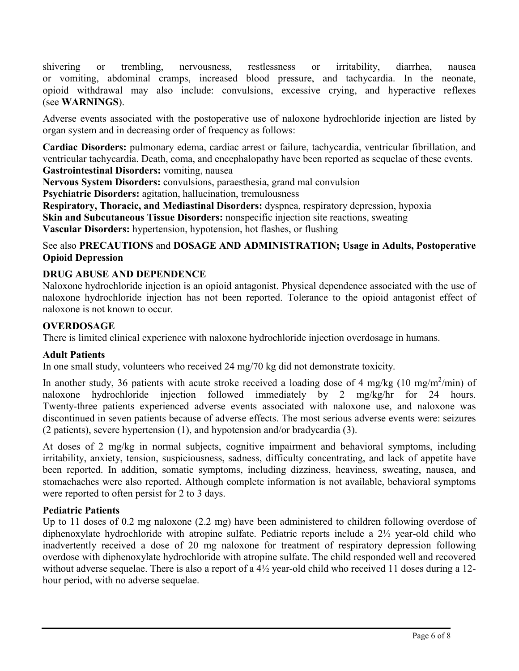shivering or trembling, nervousness, restlessness or irritability, diarrhea, nausea or vomiting, abdominal cramps, increased blood pressure, and tachycardia. In the neonate, opioid withdrawal may also include: convulsions, excessive crying, and hyperactive reflexes (see **WARNINGS**).

Adverse events associated with the postoperative use of naloxone hydrochloride injection are listed by organ system and in decreasing order of frequency as follows:

**Cardiac Disorders:** pulmonary edema, cardiac arrest or failure, tachycardia, ventricular fibrillation, and ventricular tachycardia. Death, coma, and encephalopathy have been reported as sequelae of these events. **Gastrointestinal Disorders:** vomiting, nausea

**Nervous System Disorders:** convulsions, paraesthesia, grand mal convulsion

**Psychiatric Disorders:** agitation, hallucination, tremulousness

**Respiratory, Thoracic, and Mediastinal Disorders:** dyspnea, respiratory depression, hypoxia **Skin and Subcutaneous Tissue Disorders:** nonspecific injection site reactions, sweating **Vascular Disorders:** hypertension, hypotension, hot flashes, or flushing

# See also **PRECAUTIONS** and **DOSAGE AND ADMINISTRATION; Usage in Adults, Postoperative Opioid Depression**

# **DRUG ABUSE AND DEPENDENCE**

Naloxone hydrochloride injection is an opioid antagonist. Physical dependence associated with the use of naloxone hydrochloride injection has not been reported. Tolerance to the opioid antagonist effect of naloxone is not known to occur.

### **OVERDOSAGE**

There is limited clinical experience with naloxone hydrochloride injection overdosage in humans.

### **Adult Patients**

In one small study, volunteers who received 24 mg/70 kg did not demonstrate toxicity.

In another study, 36 patients with acute stroke received a loading dose of 4 mg/kg (10 mg/m<sup>2</sup>/min) of naloxone hydrochloride injection followed immediately by 2 mg/kg/hr for 24 hours. Twenty-three patients experienced adverse events associated with naloxone use, and naloxone was discontinued in seven patients because of adverse effects. The most serious adverse events were: seizures (2 patients), severe hypertension (1), and hypotension and/or bradycardia (3).

At doses of 2 mg/kg in normal subjects, cognitive impairment and behavioral symptoms, including irritability, anxiety, tension, suspiciousness, sadness, difficulty concentrating, and lack of appetite have been reported. In addition, somatic symptoms, including dizziness, heaviness, sweating, nausea, and stomachaches were also reported. Although complete information is not available, behavioral symptoms were reported to often persist for 2 to 3 days.

### **Pediatric Patients**

Up to 11 doses of 0.2 mg naloxone (2.2 mg) have been administered to children following overdose of diphenoxylate hydrochloride with atropine sulfate. Pediatric reports include a 2½ year-old child who inadvertently received a dose of 20 mg naloxone for treatment of respiratory depression following overdose with diphenoxylate hydrochloride with atropine sulfate. The child responded well and recovered without adverse sequelae. There is also a report of a  $4\frac{1}{2}$  year-old child who received 11 doses during a 12hour period, with no adverse sequelae.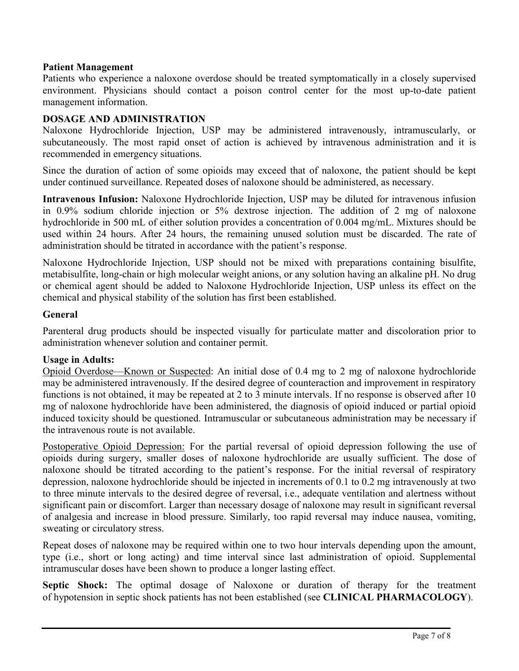#### **Patient Management**

Patients who experience a naloxone overdose should be treated symptomatically in a closely supervised environment. Physicians should contact a poison control center for the most up-to-date patient management information.

### **DOSAGE AND ADMINISTRATION**

Naloxone Hydrochloride Injection, USP may be administered intravenously, intramuscularly, or subcutaneously. The most rapid onset of action is achieved by intravenous administration and it is recommended in emergency situations.

Since the duration of action of some opioids may exceed that of naloxone, the patient should be kept under continued surveillance. Repeated doses of naloxone should be administered, as necessary.

**Intravenous Infusion:** Naloxone Hydrochloride Injection, USP may be diluted for intravenous infusion in 0.9% sodium chloride injection or 5% dextrose injection. The addition of 2 mg of naloxone hydrochloride in 500 mL of either solution provides a concentration of 0.004 mg/mL. Mixtures should be used within 24 hours. After 24 hours, the remaining unused solution must be discarded. The rate of administration should be titrated in accordance with the patient's response.

Naloxone Hydrochloride Injection, USP should not be mixed with preparations containing bisulfite, metabisulfite, long-chain or high molecular weight anions, or any solution having an alkaline pH. No drug or chemical agent should be added to Naloxone Hydrochloride Injection, USP unless its effect on the chemical and physical stability of the solution has first been established.

#### **General**

Parenteral drug products should be inspected visually for particulate matter and discoloration prior to administration whenever solution and container permit.

#### **Usage in Adults:**

Opioid Overdose—Known or Suspected: An initial dose of 0.4 mg to 2 mg of naloxone hydrochloride may be administered intravenously. If the desired degree of counteraction and improvement in respiratory functions is not obtained, it may be repeated at 2 to 3 minute intervals. If no response is observed after 10 mg of naloxone hydrochloride have been administered, the diagnosis of opioid induced or partial opioid induced toxicity should be questioned. Intramuscular or subcutaneous administration may be necessary if the intravenous route is not available.

Postoperative Opioid Depression: For the partial reversal of opioid depression following the use of opioids during surgery, smaller doses of naloxone hydrochloride are usually sufficient. The dose of naloxone should be titrated according to the patient's response. For the initial reversal of respiratory depression, naloxone hydrochloride should be injected in increments of 0.1 to 0.2 mg intravenously at two to three minute intervals to the desired degree of reversal, i.e., adequate ventilation and alertness without significant pain or discomfort. Larger than necessary dosage of naloxone may result in significant reversal of analgesia and increase in blood pressure. Similarly, too rapid reversal may induce nausea, vomiting, sweating or circulatory stress.

Repeat doses of naloxone may be required within one to two hour intervals depending upon the amount, type (i.e., short or long acting) and time interval since last administration of opioid. Supplemental intramuscular doses have been shown to produce a longer lasting effect.

**Septic Shock:** The optimal dosage of Naloxone or duration of therapy for the treatment of hypotension in septic shock patients has not been established (see **CLINICAL PHARMACOLOGY**).